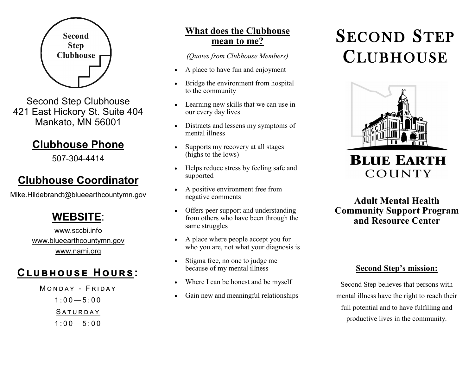

Second Step Clubhouse 421 East Hickory St. Suite 404 Mankato, MN 56001

# **Clubhouse Phone**

507-304-4414

## **Clubhouse Coordinator**

Mike.Hildebrandt@blueearthcountymn.gov

# **WEBSITE**:

www.sccbi.info www.blueearthcountymn.gov www.nami.org

# **Clubhouse Hours:**

- MONDAY FRIDAY  $1.00 - 5.00$ 
	- SATURDAY
	- $1:00 5:00$

## **What does the Clubhouse mean to me?**

*(Quotes from Clubhouse Members)*

- A place to have fun and enjoyment
- Bridge the environment from hospital to the community
- Learning new skills that we can use in our every day lives
- Distracts and lessens my symptoms of mental illness
- Supports my recovery at all stages (highs to the lows)
- Helps reduce stress by feeling safe and supported
- A positive environment free from negative comments
- Offers peer support and understanding from others who have been through the same struggles
- A place where people accept you for who you are, not what your diagnosis is
- Stigma free, no one to judge me because of my mental illness
- Where I can be honest and be myself
- Gain new and meaningful relationships

# SECOND STEP **CLUBHOUSE**



**BLUE EARTH** COUNTY

### **Adult Mental Health Community Support Program and Resource Center**

#### **Second Step's mission:**

Second Step believes that persons with mental illness have the right to reach their full potential and to have fulfilling and productive lives in the community.